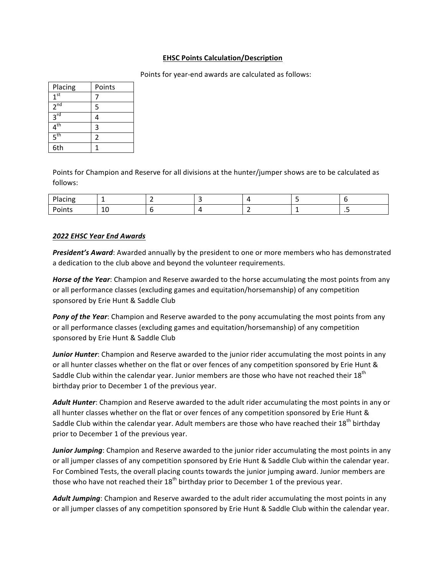## **EHSC Points Calculation/Description**

Points for year-end awards are calculated as follows:

| Placing         | Points |
|-----------------|--------|
| 1 <sup>st</sup> |        |
| $2^{nd}$        | 5      |
| $3^{\text{rd}}$ |        |
| $4^{\text{th}}$ | 3      |
| $5^{\text{th}}$ | 2      |
| 6th             |        |

Points for Champion and Reserve for all divisions at the hunter/jumper shows are to be calculated as follows:

| Placing |              |  |       |     |
|---------|--------------|--|-------|-----|
| Points  | $\sim$<br>ΨU |  | <br>_ | . . |

## *2022 EHSC Year End Awards*

**President's Award:** Awarded annually by the president to one or more members who has demonstrated a dedication to the club above and beyond the volunteer requirements.

*Horse of the Year*: Champion and Reserve awarded to the horse accumulating the most points from any or all performance classes (excluding games and equitation/horsemanship) of any competition sponsored by Erie Hunt & Saddle Club

**Pony of the Year:** Champion and Reserve awarded to the pony accumulating the most points from any or all performance classes (excluding games and equitation/horsemanship) of any competition sponsored by Erie Hunt & Saddle Club

*Junior Hunter*: Champion and Reserve awarded to the junior rider accumulating the most points in any or all hunter classes whether on the flat or over fences of any competition sponsored by Erie Hunt & Saddle Club within the calendar year. Junior members are those who have not reached their  $18^{th}$ birthday prior to December 1 of the previous year.

Adult Hunter: Champion and Reserve awarded to the adult rider accumulating the most points in any or all hunter classes whether on the flat or over fences of any competition sponsored by Erie Hunt & Saddle Club within the calendar year. Adult members are those who have reached their 18<sup>th</sup> birthday prior to December 1 of the previous year.

*Junior Jumping*: Champion and Reserve awarded to the junior rider accumulating the most points in any or all jumper classes of any competition sponsored by Erie Hunt & Saddle Club within the calendar year. For Combined Tests, the overall placing counts towards the junior jumping award. Junior members are those who have not reached their  $18<sup>th</sup>$  birthday prior to December 1 of the previous year.

Adult Jumping: Champion and Reserve awarded to the adult rider accumulating the most points in any or all jumper classes of any competition sponsored by Erie Hunt & Saddle Club within the calendar year.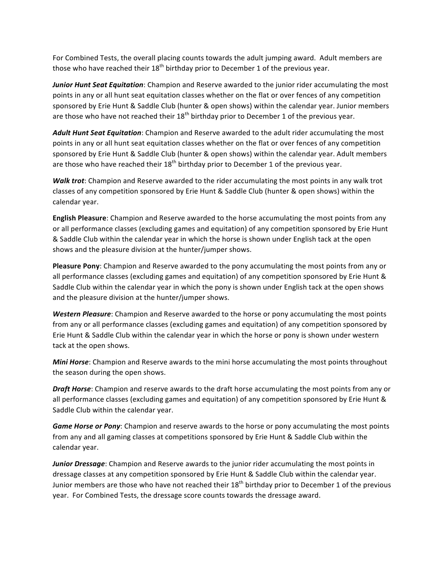For Combined Tests, the overall placing counts towards the adult jumping award. Adult members are those who have reached their  $18^{th}$  birthday prior to December 1 of the previous year.

*Junior Hunt Seat Equitation*: Champion and Reserve awarded to the junior rider accumulating the most points in any or all hunt seat equitation classes whether on the flat or over fences of any competition sponsored by Erie Hunt & Saddle Club (hunter & open shows) within the calendar year. Junior members are those who have not reached their  $18^{th}$  birthday prior to December 1 of the previous year.

Adult Hunt Seat Equitation: Champion and Reserve awarded to the adult rider accumulating the most points in any or all hunt seat equitation classes whether on the flat or over fences of any competition sponsored by Erie Hunt & Saddle Club (hunter & open shows) within the calendar year. Adult members are those who have reached their  $18^{th}$  birthday prior to December 1 of the previous year.

**Walk trot:** Champion and Reserve awarded to the rider accumulating the most points in any walk trot classes of any competition sponsored by Erie Hunt & Saddle Club (hunter & open shows) within the calendar year.

**English Pleasure:** Champion and Reserve awarded to the horse accumulating the most points from any or all performance classes (excluding games and equitation) of any competition sponsored by Erie Hunt & Saddle Club within the calendar year in which the horse is shown under English tack at the open shows and the pleasure division at the hunter/jumper shows.

**Pleasure Pony**: Champion and Reserve awarded to the pony accumulating the most points from any or all performance classes (excluding games and equitation) of any competition sponsored by Erie Hunt & Saddle Club within the calendar year in which the pony is shown under English tack at the open shows and the pleasure division at the hunter/jumper shows.

**Western Pleasure:** Champion and Reserve awarded to the horse or pony accumulating the most points from any or all performance classes (excluding games and equitation) of any competition sponsored by Erie Hunt & Saddle Club within the calendar year in which the horse or pony is shown under western tack at the open shows.

**Mini Horse:** Champion and Reserve awards to the mini horse accumulating the most points throughout the season during the open shows.

*Draft Horse*: Champion and reserve awards to the draft horse accumulating the most points from any or all performance classes (excluding games and equitation) of any competition sponsored by Erie Hunt & Saddle Club within the calendar year.

**Game Horse or Pony**: Champion and reserve awards to the horse or pony accumulating the most points from any and all gaming classes at competitions sponsored by Erie Hunt & Saddle Club within the calendar year.

**Junior Dressage:** Champion and Reserve awards to the junior rider accumulating the most points in dressage classes at any competition sponsored by Erie Hunt & Saddle Club within the calendar year. Junior members are those who have not reached their  $18<sup>th</sup>$  birthday prior to December 1 of the previous year. For Combined Tests, the dressage score counts towards the dressage award.